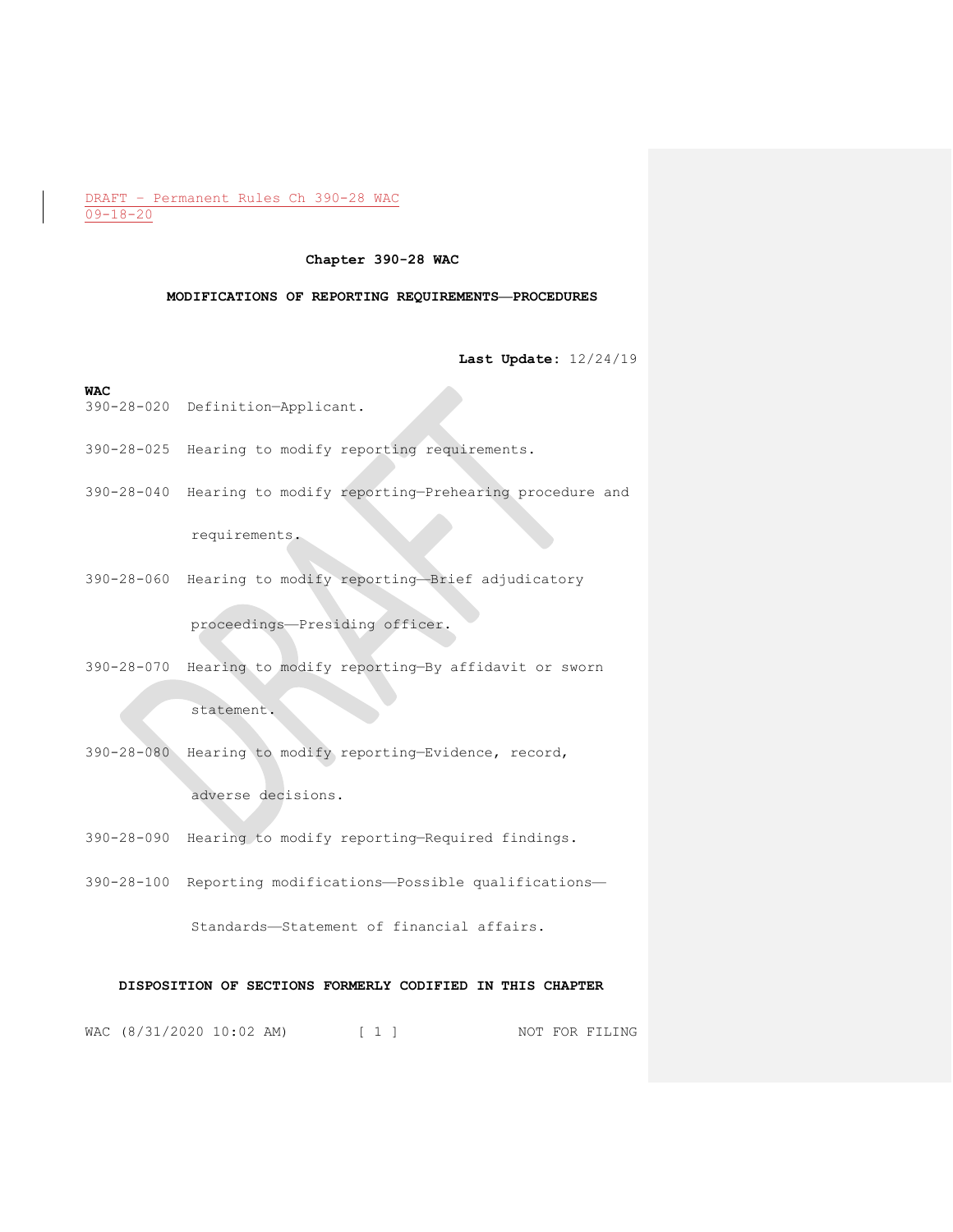#### **Chapter 390-28 WAC**

#### **MODIFICATIONS OF REPORTING REQUIREMENTS—PROCEDURES**

**Last Update:** 12/24/19

#### **WAC**

- 390-28-020 Definition—Applicant.
- 390-28-025 Hearing to modify reporting requirements.
- 390-28-040 Hearing to modify reporting—Prehearing procedure and

requirements.

390-28-060 Hearing to modify reporting—Brief adjudicatory

proceedings—Presiding officer.

390-28-070 Hearing to modify reporting—By affidavit or sworn

statement.

390-28-080 Hearing to modify reporting—Evidence, record,

adverse decisions.

- 390-28-090 Hearing to modify reporting—Required findings.
- 390-28-100 Reporting modifications—Possible qualifications—

Standards—Statement of financial affairs.

# **DISPOSITION OF SECTIONS FORMERLY CODIFIED IN THIS CHAPTER**

WAC (8/31/2020 10:02 AM) [ 1 ] NOT FOR FILING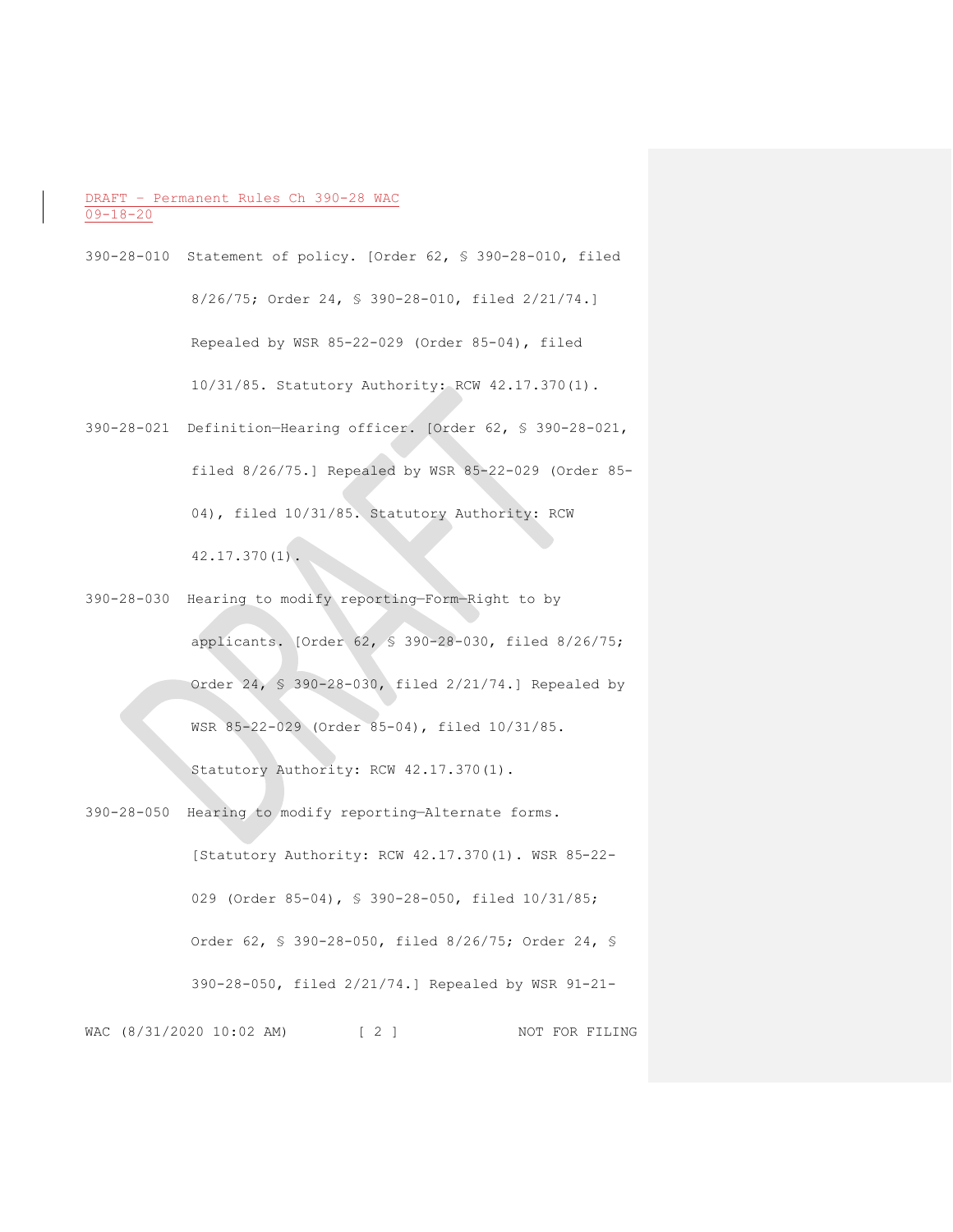- 390-28-010 Statement of policy. [Order 62, § 390-28-010, filed 8/26/75; Order 24, § 390-28-010, filed 2/21/74.] Repealed by WSR 85-22-029 (Order 85-04), filed 10/31/85. Statutory Authority: RCW 42.17.370(1).
- 390-28-021 Definition—Hearing officer. [Order 62, § 390-28-021, filed 8/26/75.] Repealed by WSR 85-22-029 (Order 85- 04), filed 10/31/85. Statutory Authority: RCW  $42.17.370(1)$ .
- 390-28-030 Hearing to modify reporting—Form—Right to by applicants. [Order 62, § 390-28-030, filed 8/26/75; Order 24, § 390-28-030, filed 2/21/74.] Repealed by WSR 85-22-029 (Order 85-04), filed 10/31/85.

Statutory Authority: RCW 42.17.370(1).

WAC (8/31/2020 10:02 AM) [ 2 ] NOT FOR FILING 390-28-050 Hearing to modify reporting—Alternate forms. [Statutory Authority: RCW 42.17.370(1). WSR 85-22- 029 (Order 85-04), § 390-28-050, filed  $10/31/85$ ; Order 62, § 390-28-050, filed 8/26/75; Order 24, § 390-28-050, filed 2/21/74.] Repealed by WSR 91-21-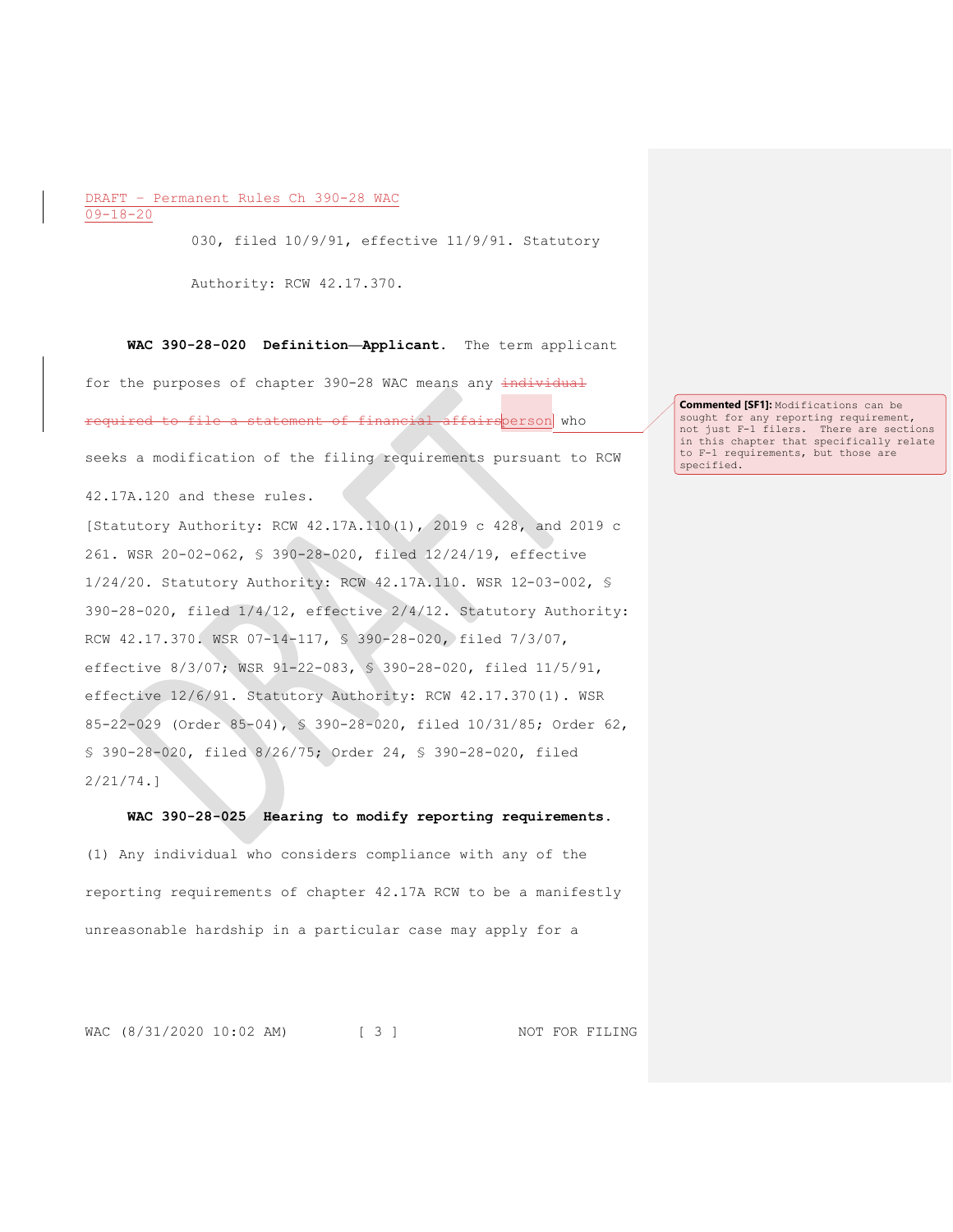030, filed 10/9/91, effective 11/9/91. Statutory

Authority: RCW 42.17.370.

**WAC 390-28-020 Definition—Applicant.** The term applicant for the purposes of chapter 390-28 WAC means any individual required to file a statement of financial affairsperson who seeks a modification of the filing requirements pursuant to RCW 42.17A.120 and these rules.

[Statutory Authority: RCW 42.17A.110(1), 2019 c 428, and 2019 c 261. WSR 20-02-062, § 390-28-020, filed 12/24/19, effective 1/24/20. Statutory Authority: RCW 42.17A.110. WSR 12-03-002, § 390-28-020, filed 1/4/12, effective 2/4/12. Statutory Authority: RCW 42.17.370. WSR 07-14-117, § 390-28-020, filed 7/3/07, effective 8/3/07; WSR 91-22-083, § 390-28-020, filed 11/5/91, effective 12/6/91. Statutory Authority: RCW 42.17.370(1). WSR 85-22-029 (Order 85-04), § 390-28-020, filed 10/31/85; Order 62, § 390-28-020, filed 8/26/75; Order 24, § 390-28-020, filed 2/21/74.]

#### **WAC 390-28-025 Hearing to modify reporting requirements.**

(1) Any individual who considers compliance with any of the reporting requirements of chapter 42.17A RCW to be a manifestly unreasonable hardship in a particular case may apply for a

WAC (8/31/2020 10:02 AM) [ 3 ] NOT FOR FILING

**Commented [SF1]:** Modifications can be sought for any reporting requirement, not just F-1 filers. There are sections in this chapter that specifically relate to F-1 requirements, but those are specified.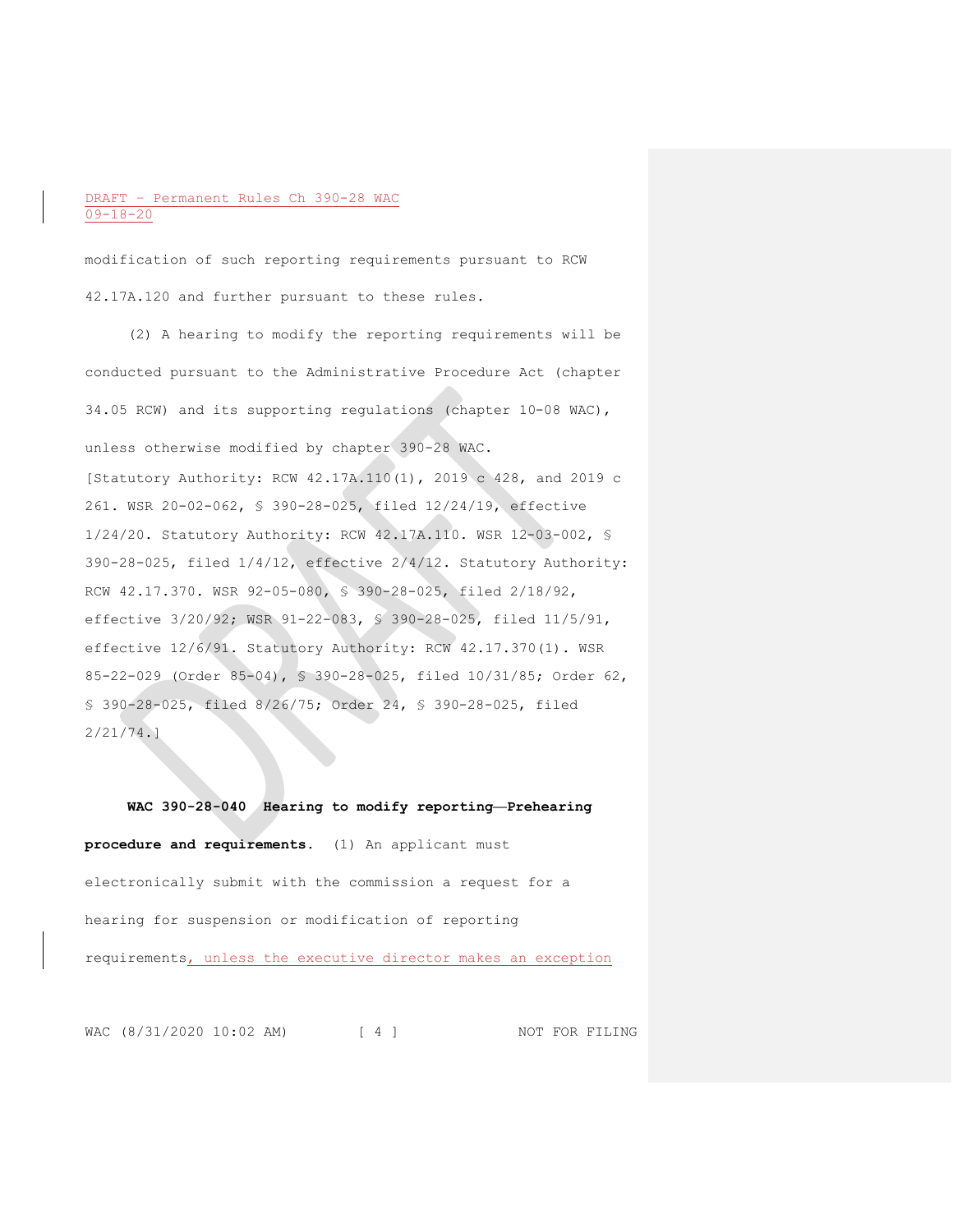modification of such reporting requirements pursuant to RCW 42.17A.120 and further pursuant to these rules.

(2) A hearing to modify the reporting requirements will be conducted pursuant to the Administrative Procedure Act (chapter 34.05 RCW) and its supporting regulations (chapter 10-08 WAC), unless otherwise modified by chapter 390-28 WAC. [Statutory Authority: RCW 42.17A.110(1), 2019 c 428, and 2019 c 261. WSR 20-02-062, § 390-28-025, filed 12/24/19, effective 1/24/20. Statutory Authority: RCW 42.17A.110. WSR 12-03-002, § 390-28-025, filed 1/4/12, effective 2/4/12. Statutory Authority: RCW 42.17.370. WSR 92-05-080, § 390-28-025, filed 2/18/92, effective 3/20/92; WSR 91-22-083, § 390-28-025, filed 11/5/91, effective 12/6/91. Statutory Authority: RCW 42.17.370(1). WSR 85-22-029 (Order 85-04), § 390-28-025, filed 10/31/85; Order 62, § 390-28-025, filed 8/26/75; Order 24, § 390-28-025, filed 2/21/74.]

**WAC 390-28-040 Hearing to modify reporting—Prehearing procedure and requirements.** (1) An applicant must electronically submit with the commission a request for a hearing for suspension or modification of reporting requirements, unless the executive director makes an exception

WAC (8/31/2020 10:02 AM) [ 4 ] NOT FOR FILING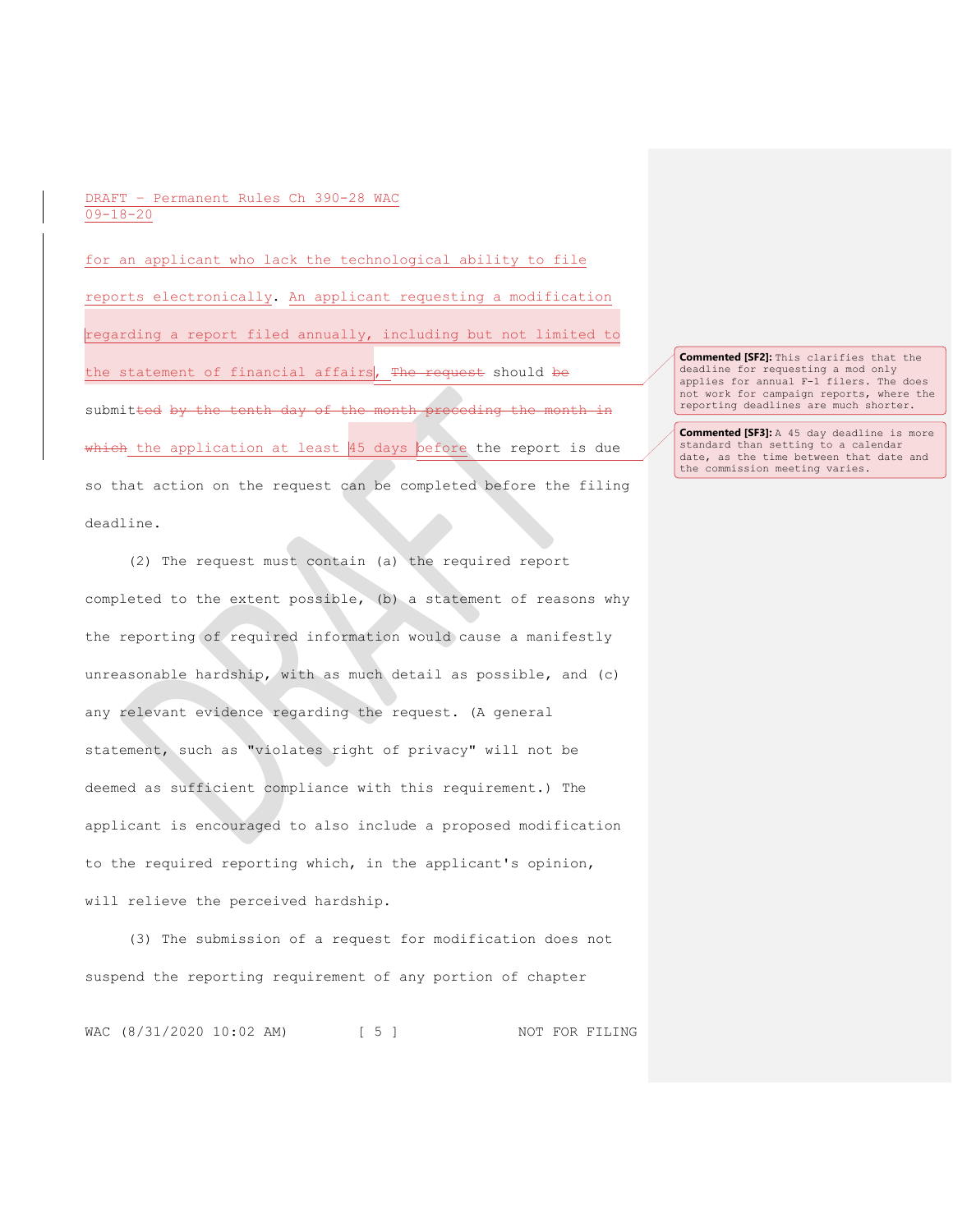for an applicant who lack the technological ability to file reports electronically. An applicant requesting a modification regarding a report filed annually, including but not limited to the statement of financial affairs, The request should be submitted by the tenth day of the month preceding the month in which the application at least 45 days before the report is due so that action on the request can be completed before the filing deadline.

(2) The request must contain (a) the required report completed to the extent possible, (b) a statement of reasons why the reporting of required information would cause a manifestly unreasonable hardship, with as much detail as possible, and (c) any relevant evidence regarding the request. (A general statement, such as "violates right of privacy" will not be deemed as sufficient compliance with this requirement.) The applicant is encouraged to also include a proposed modification to the required reporting which, in the applicant's opinion, will relieve the perceived hardship.

(3) The submission of a request for modification does not suspend the reporting requirement of any portion of chapter

WAC (8/31/2020 10:02 AM) [ 5 ] NOT FOR FILING

**Commented [SF2]:** This clarifies that the deadline for requesting a mod only applies for annual F-1 filers. The does not work for campaign reports, where the reporting deadlines are much shorter.

**Commented [SF3]:** A 45 day deadline is more standard than setting to a calendar date, as the time between that date and the commission meeting varies.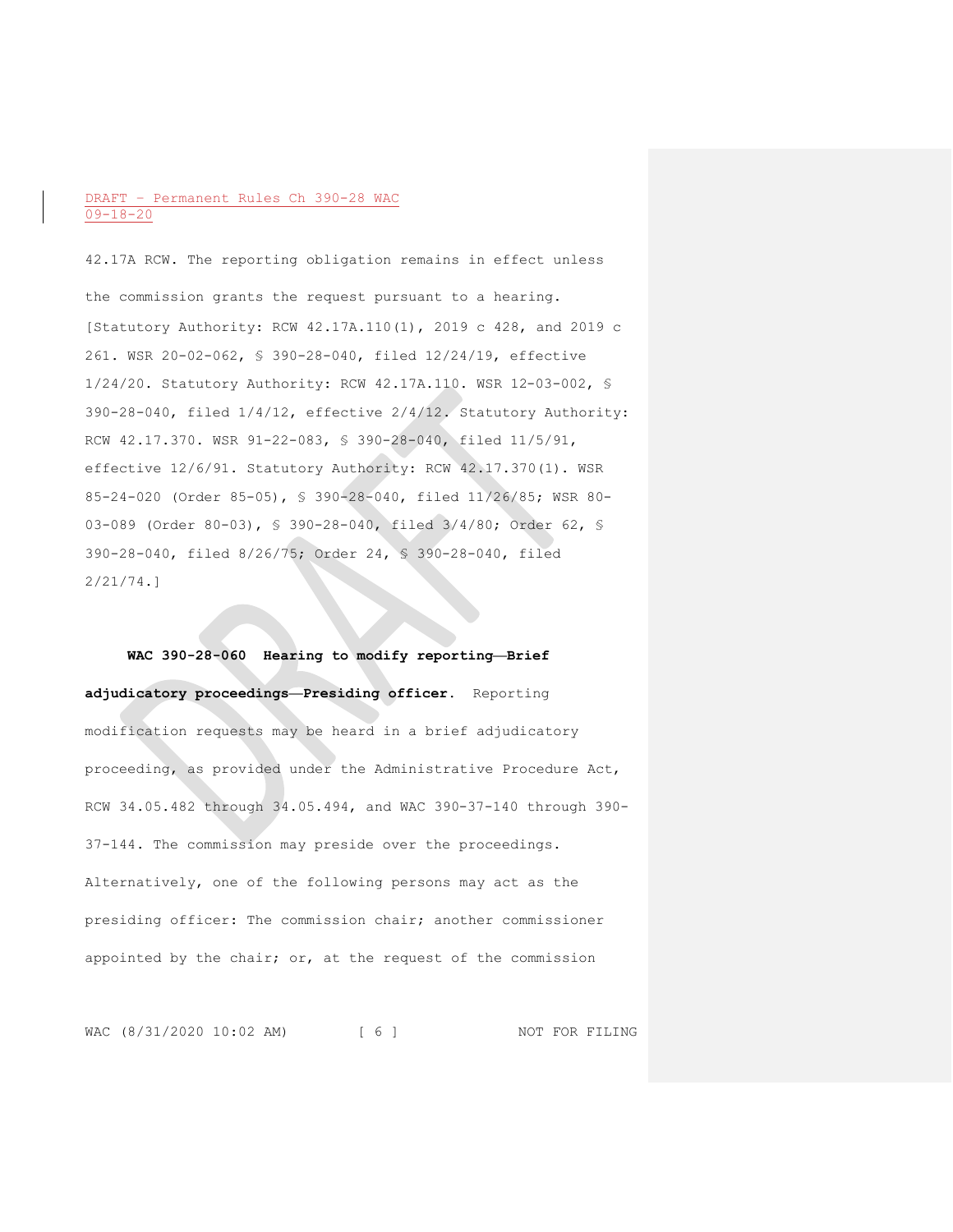42.17A RCW. The reporting obligation remains in effect unless the commission grants the request pursuant to a hearing. [Statutory Authority: RCW 42.17A.110(1), 2019 c 428, and 2019 c 261. WSR 20-02-062, § 390-28-040, filed 12/24/19, effective 1/24/20. Statutory Authority: RCW 42.17A.110. WSR 12-03-002, § 390-28-040, filed 1/4/12, effective 2/4/12. Statutory Authority: RCW 42.17.370. WSR 91-22-083, § 390-28-040, filed 11/5/91, effective 12/6/91. Statutory Authority: RCW 42.17.370(1). WSR 85-24-020 (Order 85-05), § 390-28-040, filed 11/26/85; WSR 80- 03-089 (Order 80-03), § 390-28-040, filed 3/4/80; Order 62, § 390-28-040, filed 8/26/75; Order 24, § 390-28-040, filed 2/21/74.]

**WAC 390-28-060 Hearing to modify reporting—Brief adjudicatory proceedings—Presiding officer.** Reporting modification requests may be heard in a brief adjudicatory proceeding, as provided under the Administrative Procedure Act, RCW 34.05.482 through 34.05.494, and WAC 390-37-140 through 390- 37-144. The commission may preside over the proceedings. Alternatively, one of the following persons may act as the presiding officer: The commission chair; another commissioner appointed by the chair; or, at the request of the commission

WAC (8/31/2020 10:02 AM) [ 6 ] NOT FOR FILING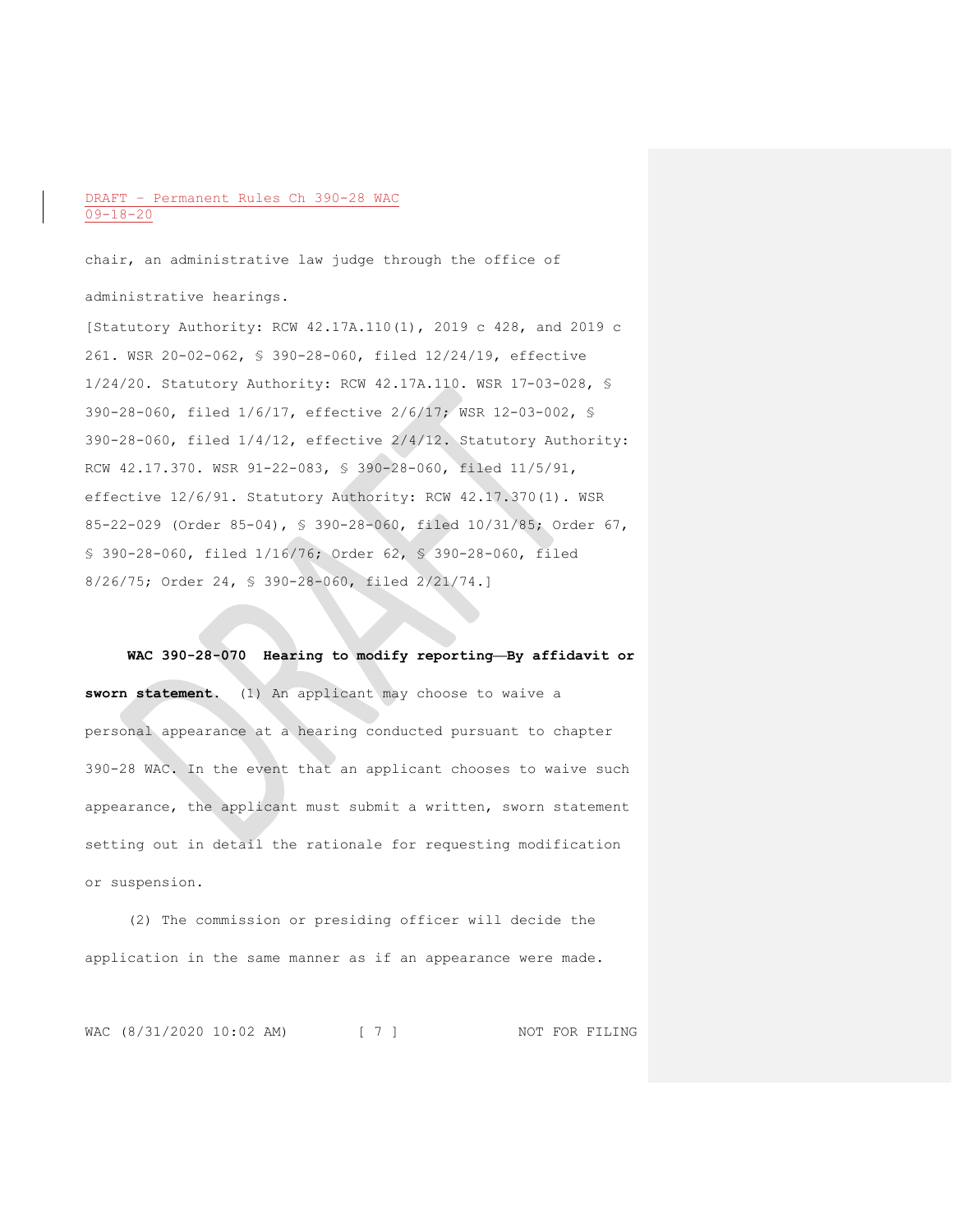chair, an administrative law judge through the office of administrative hearings.

[Statutory Authority: RCW 42.17A.110(1), 2019 c 428, and 2019 c 261. WSR 20-02-062, § 390-28-060, filed 12/24/19, effective 1/24/20. Statutory Authority: RCW 42.17A.110. WSR 17-03-028, § 390-28-060, filed 1/6/17, effective 2/6/17; WSR 12-03-002, § 390-28-060, filed 1/4/12, effective 2/4/12. Statutory Authority: RCW 42.17.370. WSR 91-22-083, § 390-28-060, filed 11/5/91, effective 12/6/91. Statutory Authority: RCW 42.17.370(1). WSR 85-22-029 (Order 85-04), § 390-28-060, filed 10/31/85; Order 67, § 390-28-060, filed 1/16/76; Order 62, § 390-28-060, filed 8/26/75; Order 24, § 390-28-060, filed 2/21/74.]

**WAC 390-28-070 Hearing to modify reporting—By affidavit or sworn statement.** (1) An applicant may choose to waive a personal appearance at a hearing conducted pursuant to chapter 390-28 WAC. In the event that an applicant chooses to waive such appearance, the applicant must submit a written, sworn statement setting out in detail the rationale for requesting modification or suspension.

(2) The commission or presiding officer will decide the application in the same manner as if an appearance were made.

WAC (8/31/2020 10:02 AM) [ 7 ] NOT FOR FILING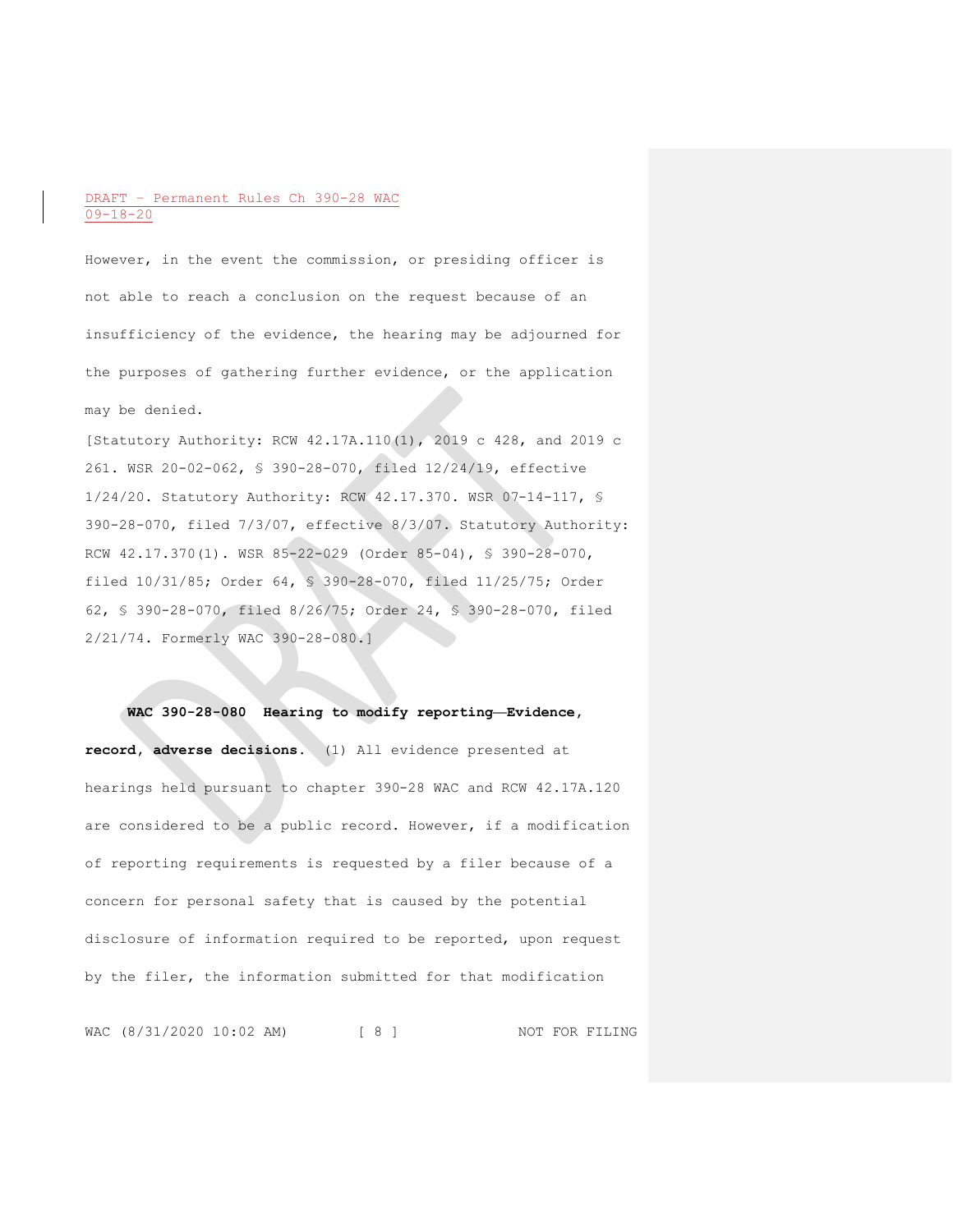However, in the event the commission, or presiding officer is not able to reach a conclusion on the request because of an insufficiency of the evidence, the hearing may be adjourned for the purposes of gathering further evidence, or the application may be denied.

[Statutory Authority: RCW 42.17A.110(1), 2019 c 428, and 2019 c 261. WSR 20-02-062, § 390-28-070, filed 12/24/19, effective 1/24/20. Statutory Authority: RCW 42.17.370. WSR 07-14-117, § 390-28-070, filed 7/3/07, effective 8/3/07. Statutory Authority: RCW 42.17.370(1). WSR 85-22-029 (Order 85-04), § 390-28-070, filed 10/31/85; Order 64, § 390-28-070, filed 11/25/75; Order 62, § 390-28-070, filed 8/26/75; Order 24, § 390-28-070, filed 2/21/74. Formerly WAC 390-28-080.]

#### **WAC 390-28-080 Hearing to modify reporting—Evidence,**

**record, adverse decisions.** (1) All evidence presented at hearings held pursuant to chapter 390-28 WAC and RCW 42.17A.120 are considered to be a public record. However, if a modification of reporting requirements is requested by a filer because of a concern for personal safety that is caused by the potential disclosure of information required to be reported, upon request by the filer, the information submitted for that modification

WAC (8/31/2020 10:02 AM) [ 8 ] NOT FOR FILING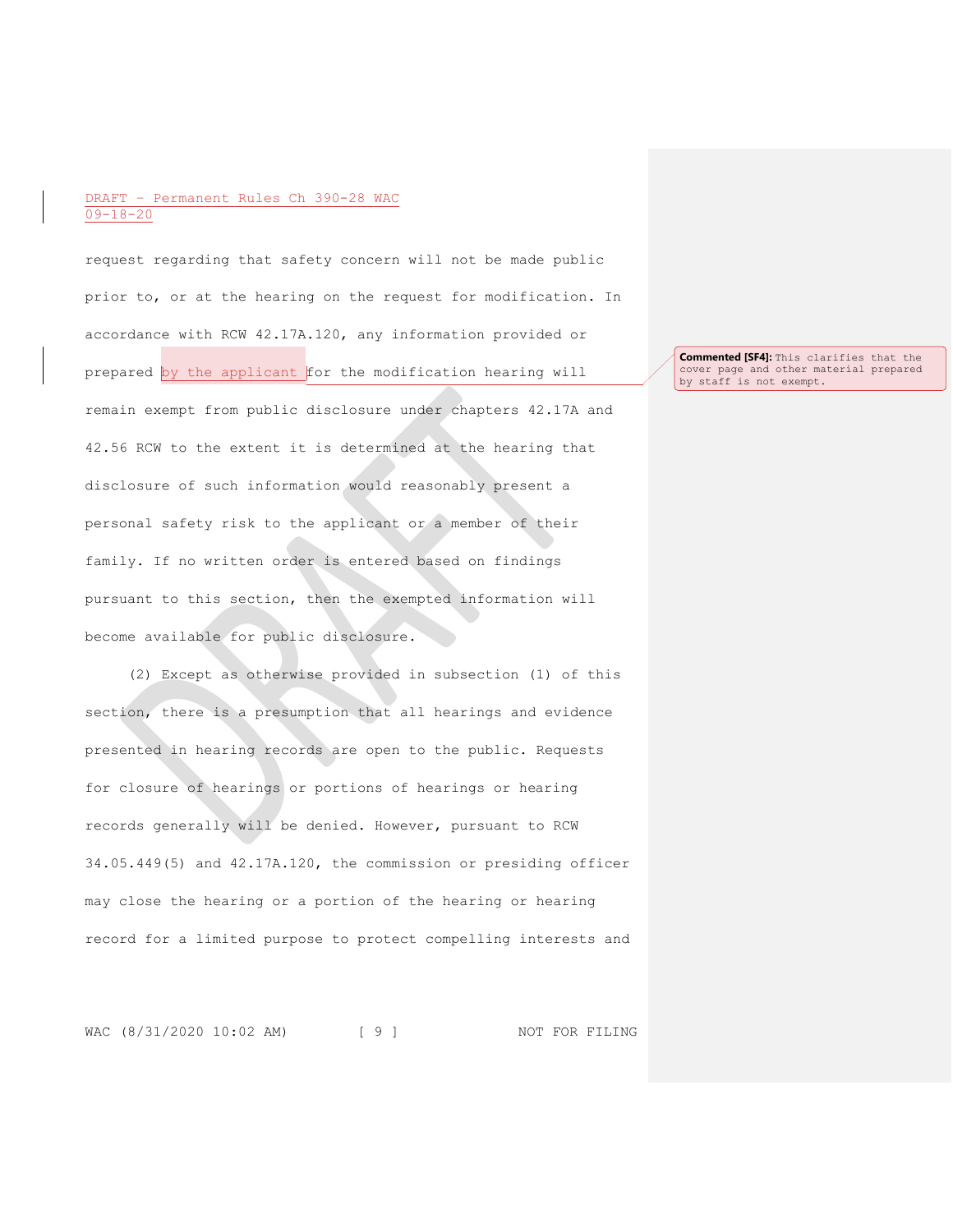request regarding that safety concern will not be made public prior to, or at the hearing on the request for modification. In accordance with RCW 42.17A.120, any information provided or prepared by the applicant for the modification hearing will remain exempt from public disclosure under chapters 42.17A and 42.56 RCW to the extent it is determined at the hearing that disclosure of such information would reasonably present a personal safety risk to the applicant or a member of their family. If no written order is entered based on findings pursuant to this section, then the exempted information will become available for public disclosure.

(2) Except as otherwise provided in subsection (1) of this section, there is a presumption that all hearings and evidence presented in hearing records are open to the public. Requests for closure of hearings or portions of hearings or hearing records generally will be denied. However, pursuant to RCW 34.05.449(5) and 42.17A.120, the commission or presiding officer may close the hearing or a portion of the hearing or hearing record for a limited purpose to protect compelling interests and

WAC (8/31/2020 10:02 AM) [ 9 ] NOT FOR FILING

**Commented [SF4]:** This clarifies that the cover page and other material prepared by staff is not exempt.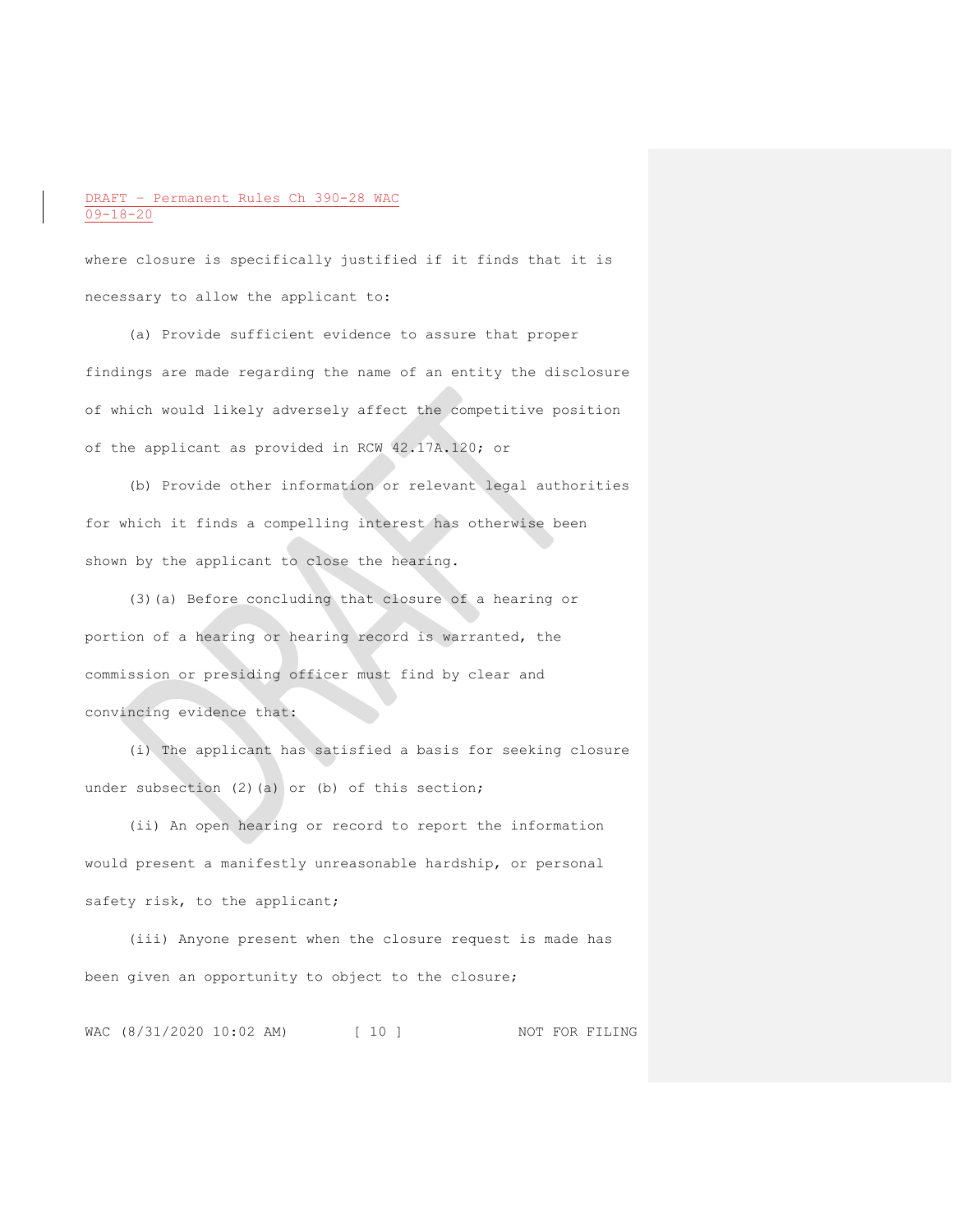where closure is specifically justified if it finds that it is necessary to allow the applicant to:

(a) Provide sufficient evidence to assure that proper findings are made regarding the name of an entity the disclosure of which would likely adversely affect the competitive position of the applicant as provided in RCW 42.17A.120; or

(b) Provide other information or relevant legal authorities for which it finds a compelling interest has otherwise been shown by the applicant to close the hearing.

(3)(a) Before concluding that closure of a hearing or portion of a hearing or hearing record is warranted, the commission or presiding officer must find by clear and convincing evidence that:

(i) The applicant has satisfied a basis for seeking closure under subsection (2)(a) or (b) of this section;

(ii) An open hearing or record to report the information would present a manifestly unreasonable hardship, or personal safety risk, to the applicant;

(iii) Anyone present when the closure request is made has been given an opportunity to object to the closure;

WAC (8/31/2020 10:02 AM) [ 10 ] NOT FOR FILING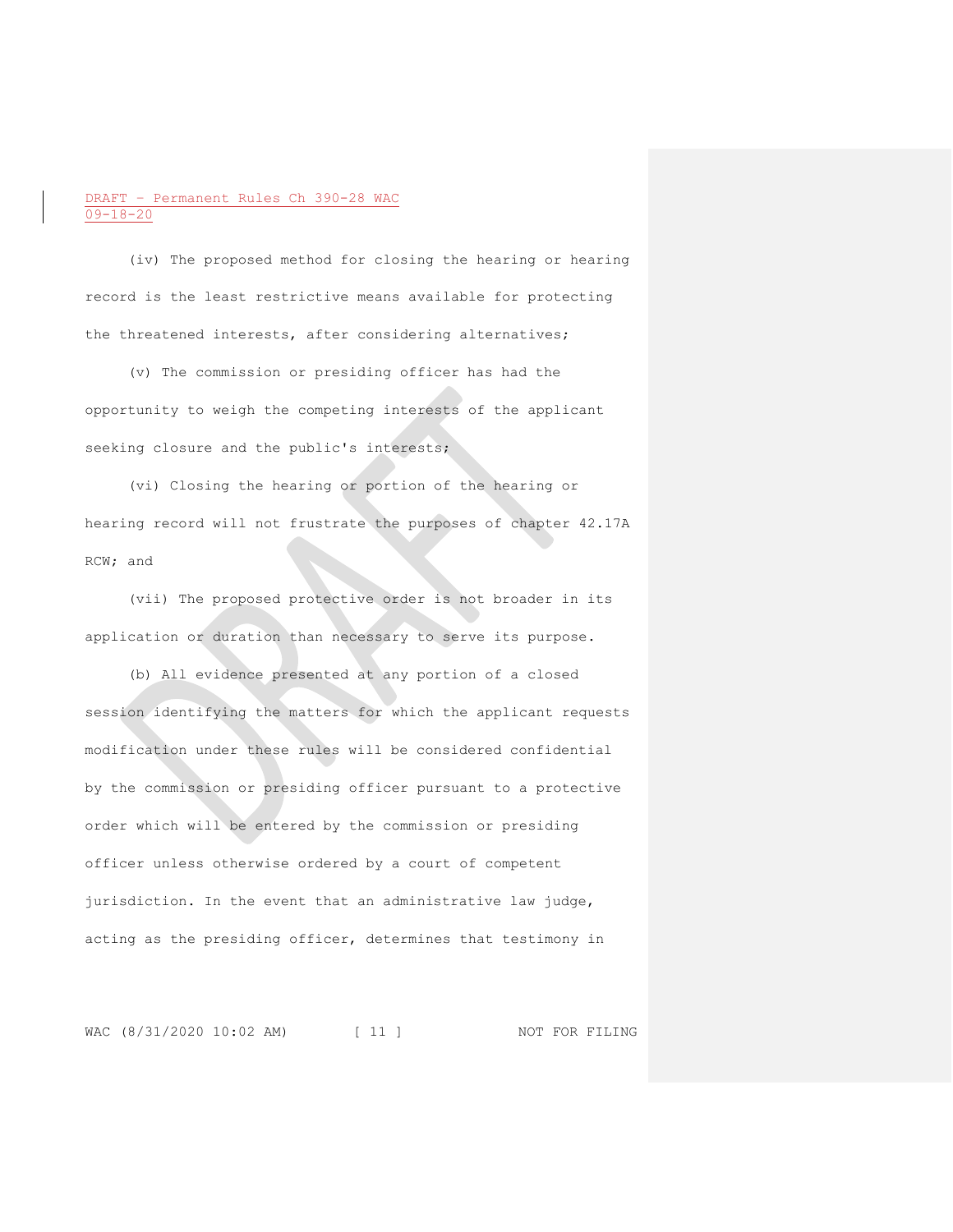(iv) The proposed method for closing the hearing or hearing record is the least restrictive means available for protecting the threatened interests, after considering alternatives;

(v) The commission or presiding officer has had the opportunity to weigh the competing interests of the applicant seeking closure and the public's interests;

(vi) Closing the hearing or portion of the hearing or hearing record will not frustrate the purposes of chapter 42.17A RCW; and

(vii) The proposed protective order is not broader in its application or duration than necessary to serve its purpose.

(b) All evidence presented at any portion of a closed session identifying the matters for which the applicant requests modification under these rules will be considered confidential by the commission or presiding officer pursuant to a protective order which will be entered by the commission or presiding officer unless otherwise ordered by a court of competent jurisdiction. In the event that an administrative law judge, acting as the presiding officer, determines that testimony in

WAC (8/31/2020 10:02 AM) [ 11 ] NOT FOR FILING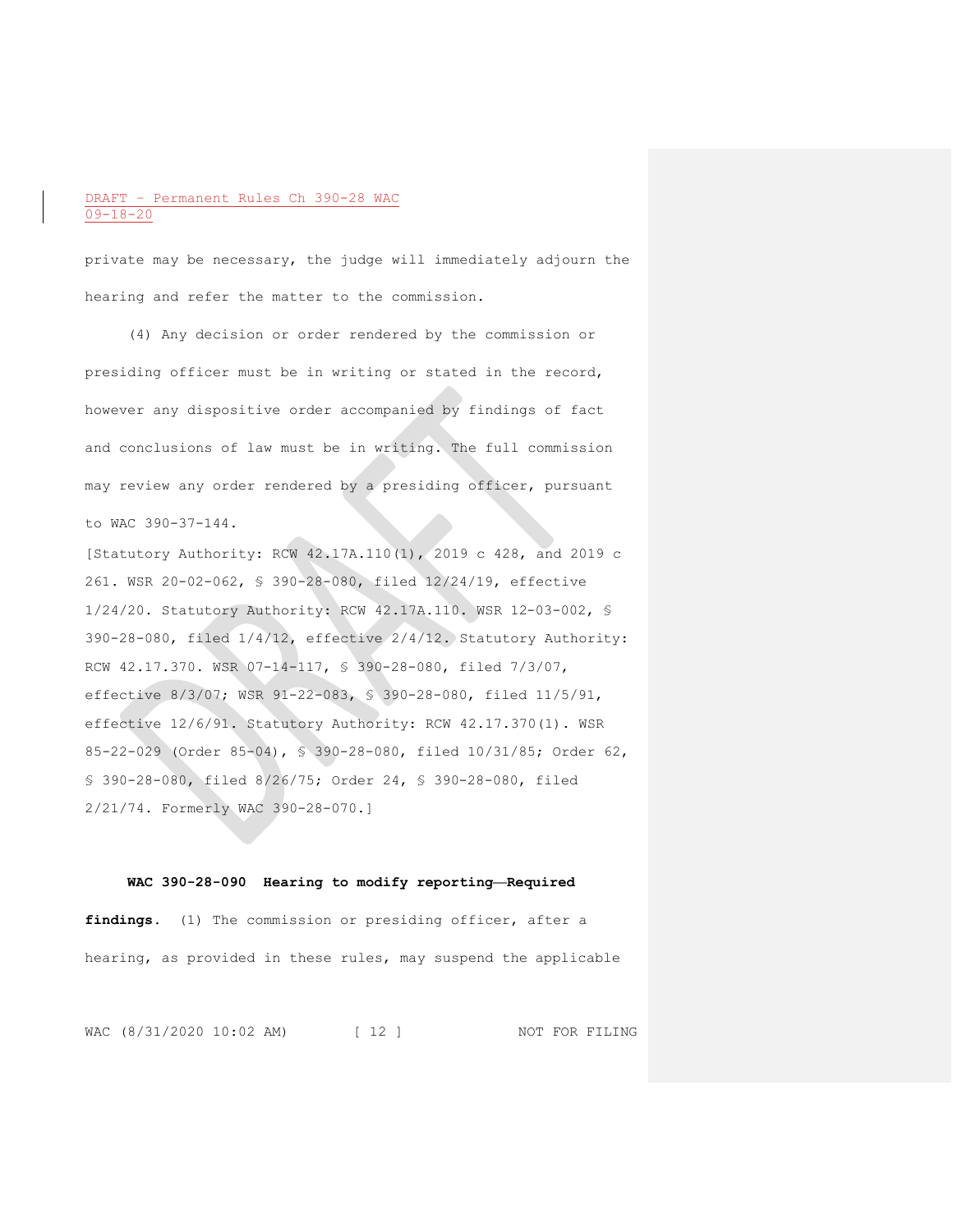private may be necessary, the judge will immediately adjourn the hearing and refer the matter to the commission.

(4) Any decision or order rendered by the commission or presiding officer must be in writing or stated in the record, however any dispositive order accompanied by findings of fact and conclusions of law must be in writing. The full commission may review any order rendered by a presiding officer, pursuant to WAC 390-37-144.

[Statutory Authority: RCW 42.17A.110(1), 2019 c 428, and 2019 c 261. WSR 20-02-062, § 390-28-080, filed 12/24/19, effective 1/24/20. Statutory Authority: RCW 42.17A.110. WSR 12-03-002, § 390-28-080, filed 1/4/12, effective 2/4/12. Statutory Authority: RCW 42.17.370. WSR 07-14-117, § 390-28-080, filed 7/3/07, effective 8/3/07; WSR 91-22-083, § 390-28-080, filed 11/5/91, effective 12/6/91. Statutory Authority: RCW 42.17.370(1). WSR 85-22-029 (Order 85-04), § 390-28-080, filed 10/31/85; Order 62, § 390-28-080, filed 8/26/75; Order 24, § 390-28-080, filed 2/21/74. Formerly WAC 390-28-070.]

#### **WAC 390-28-090 Hearing to modify reporting—Required**

findings. (1) The commission or presiding officer, after a hearing, as provided in these rules, may suspend the applicable

WAC (8/31/2020 10:02 AM) [ 12 ] NOT FOR FILING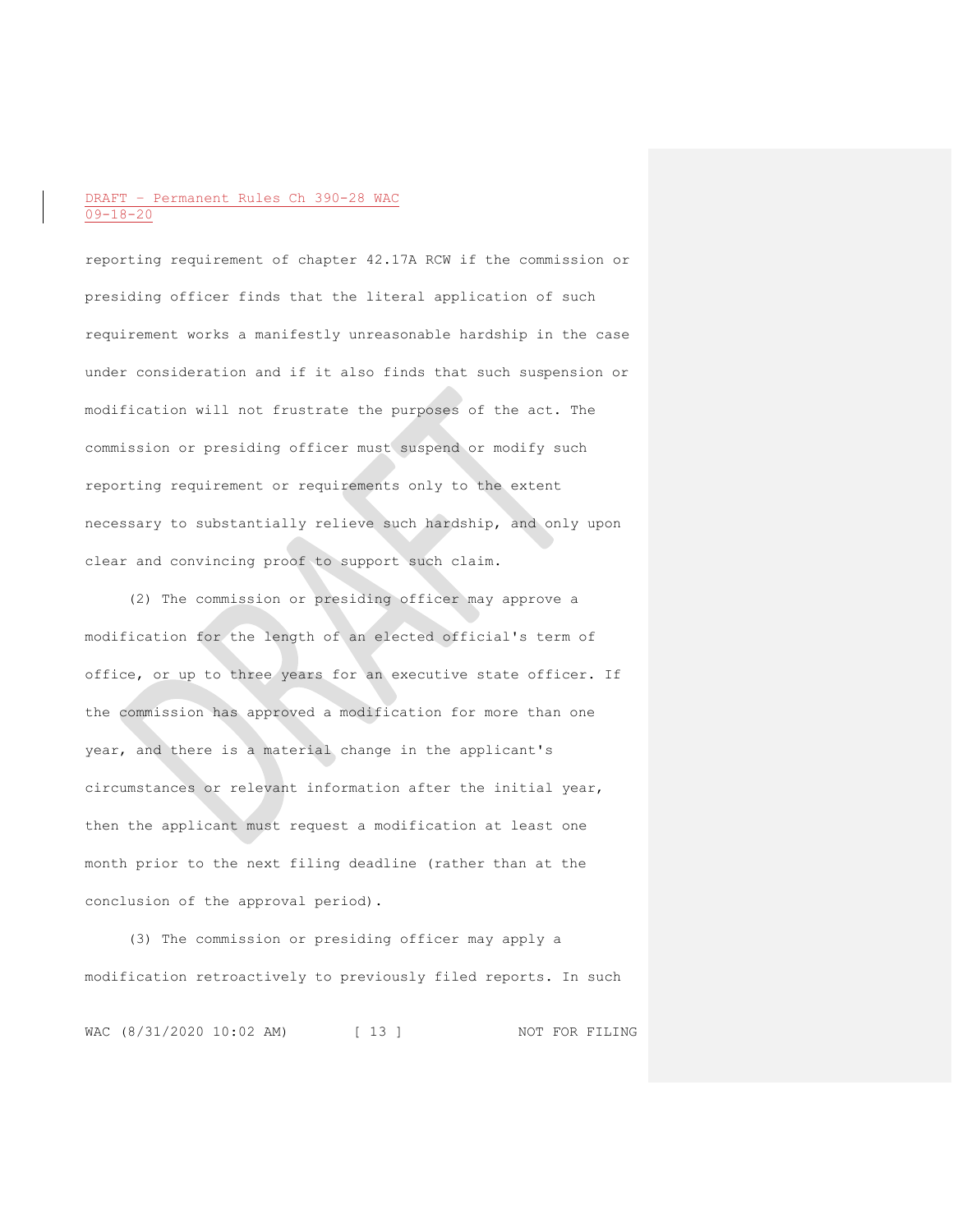reporting requirement of chapter 42.17A RCW if the commission or presiding officer finds that the literal application of such requirement works a manifestly unreasonable hardship in the case under consideration and if it also finds that such suspension or modification will not frustrate the purposes of the act. The commission or presiding officer must suspend or modify such reporting requirement or requirements only to the extent necessary to substantially relieve such hardship, and only upon clear and convincing proof to support such claim.

(2) The commission or presiding officer may approve a modification for the length of an elected official's term of office, or up to three years for an executive state officer. If the commission has approved a modification for more than one year, and there is a material change in the applicant's circumstances or relevant information after the initial year, then the applicant must request a modification at least one month prior to the next filing deadline (rather than at the conclusion of the approval period).

(3) The commission or presiding officer may apply a modification retroactively to previously filed reports. In such

WAC (8/31/2020 10:02 AM) [ 13 ] NOT FOR FILING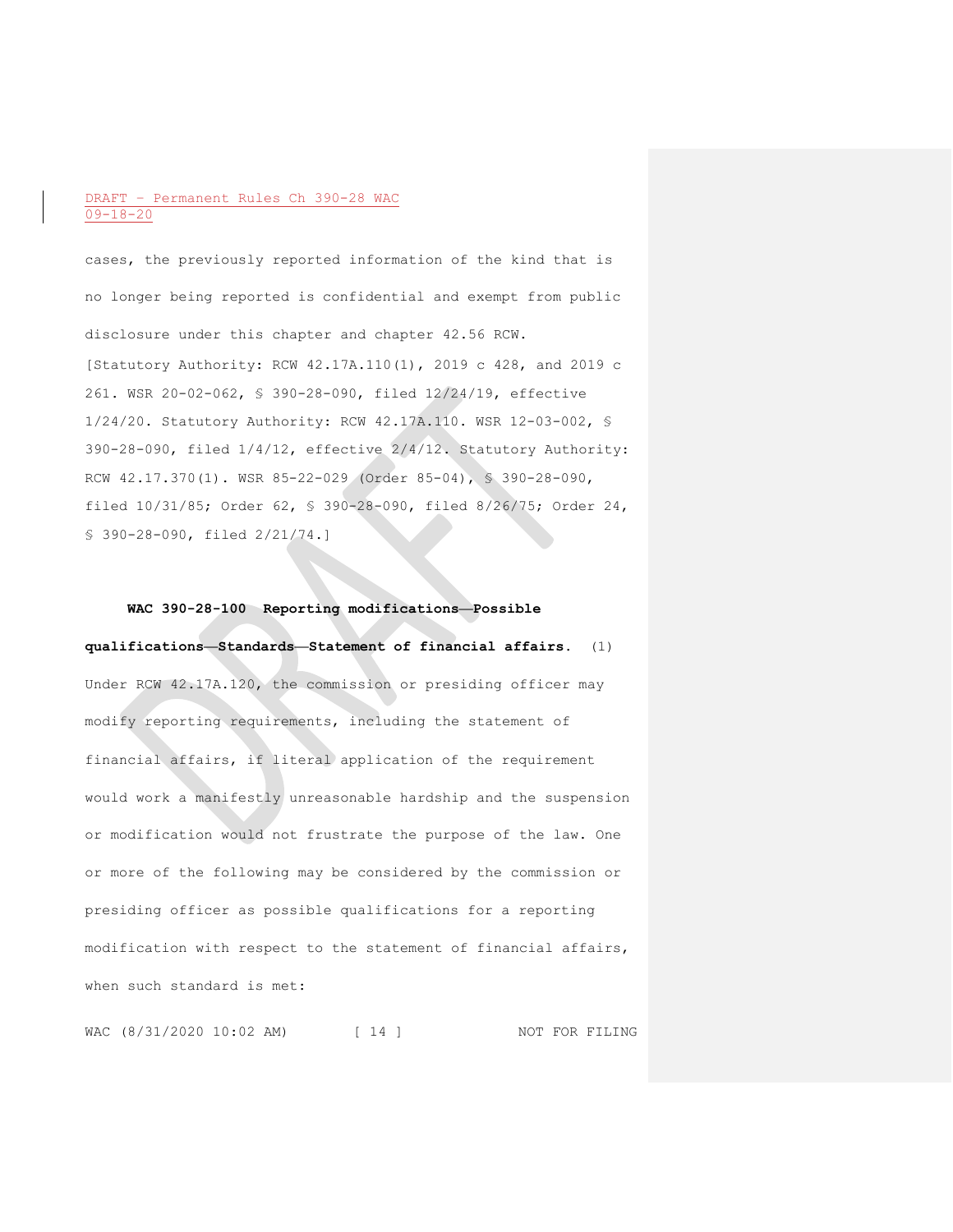cases, the previously reported information of the kind that is no longer being reported is confidential and exempt from public disclosure under this chapter and chapter 42.56 RCW. [Statutory Authority: RCW 42.17A.110(1), 2019 c 428, and 2019 c 261. WSR 20-02-062, § 390-28-090, filed 12/24/19, effective 1/24/20. Statutory Authority: RCW 42.17A.110. WSR 12-03-002, § 390-28-090, filed 1/4/12, effective 2/4/12. Statutory Authority: RCW 42.17.370(1). WSR 85-22-029 (Order 85-04), § 390-28-090, filed 10/31/85; Order 62, § 390-28-090, filed 8/26/75; Order 24, § 390-28-090, filed 2/21/74.]

# **WAC 390-28-100 Reporting modifications—Possible qualifications—Standards—Statement of financial affairs.** (1) Under RCW 42.17A.120, the commission or presiding officer may modify reporting requirements, including the statement of financial affairs, if literal application of the requirement would work a manifestly unreasonable hardship and the suspension or modification would not frustrate the purpose of the law. One or more of the following may be considered by the commission or presiding officer as possible qualifications for a reporting modification with respect to the statement of financial affairs, when such standard is met:

WAC (8/31/2020 10:02 AM) [ 14 ] NOT FOR FILING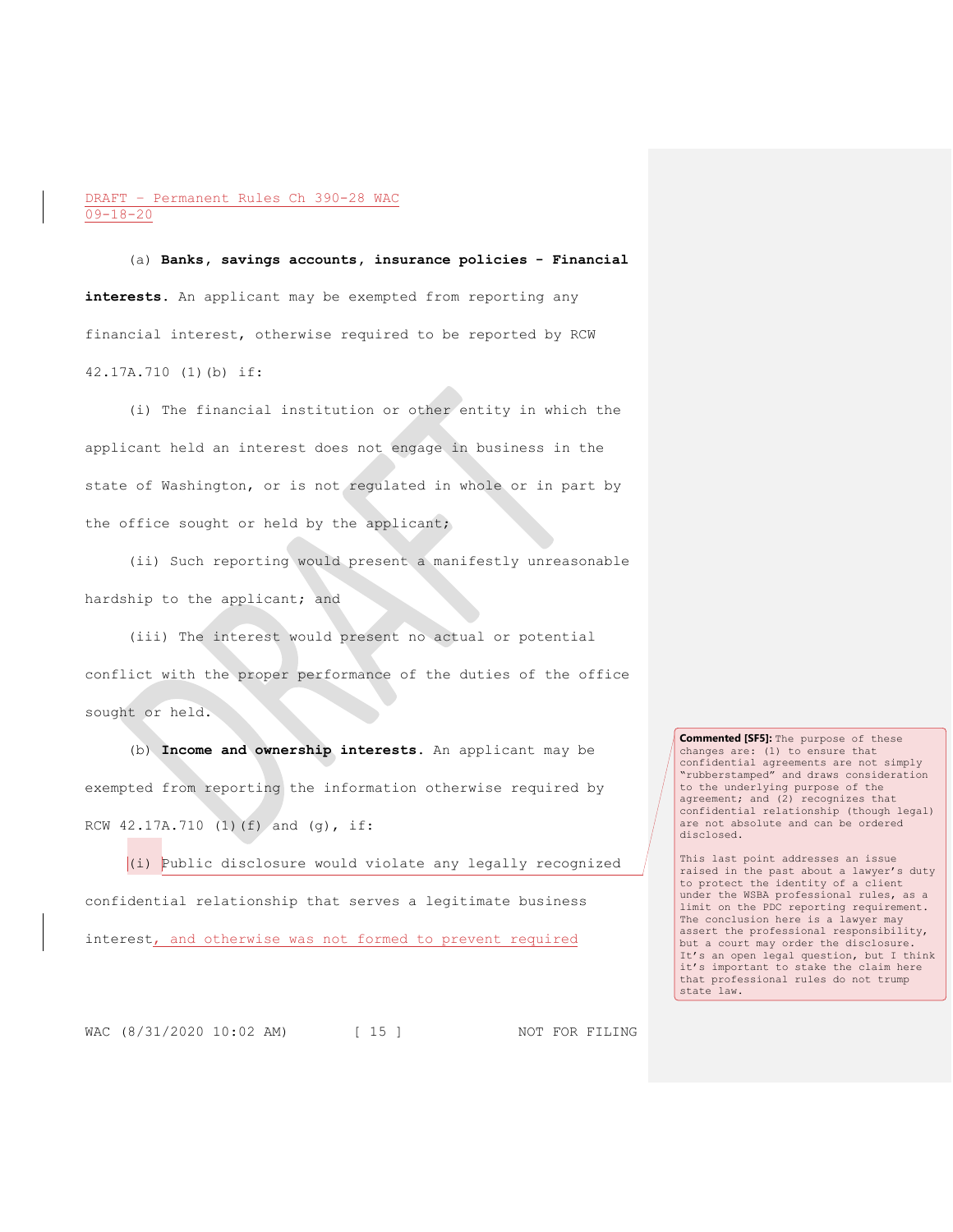(a) **Banks, savings accounts, insurance policies - Financial**  interests. An applicant may be exempted from reporting any financial interest, otherwise required to be reported by RCW 42.17A.710 (1)(b) if:

(i) The financial institution or other entity in which the applicant held an interest does not engage in business in the state of Washington, or is not regulated in whole or in part by the office sought or held by the applicant;

(ii) Such reporting would present a manifestly unreasonable hardship to the applicant; and

(iii) The interest would present no actual or potential conflict with the proper performance of the duties of the office sought or held.

(b) **Income and ownership interests.** An applicant may be exempted from reporting the information otherwise required by RCW 42.17A.710 (1)(f) and (g), if:

(i) Public disclosure would violate any legally recognized confidential relationship that serves a legitimate business interest, and otherwise was not formed to prevent required

**Commented [SF5]:** The purpose of these changes are: (1) to ensure that confidential agreements are not simply "rubberstamped" and draws consideration to the underlying purpose of the agreement; and (2) recognizes that confidential relationship (though legal) are not absolute and can be ordered disclosed.

This last point addresses an issue raised in the past about a lawyer's duty to protect the identity of a client under the WSBA professional rules, as a limit on the PDC reporting requirement. The conclusion here is a lawyer may assert the professional responsibility, but a court may order the disclosure. It's an open legal question, but I think it's important to stake the claim here that professional rules do not trump state law.

WAC (8/31/2020 10:02 AM) [ 15 ] NOT FOR FILING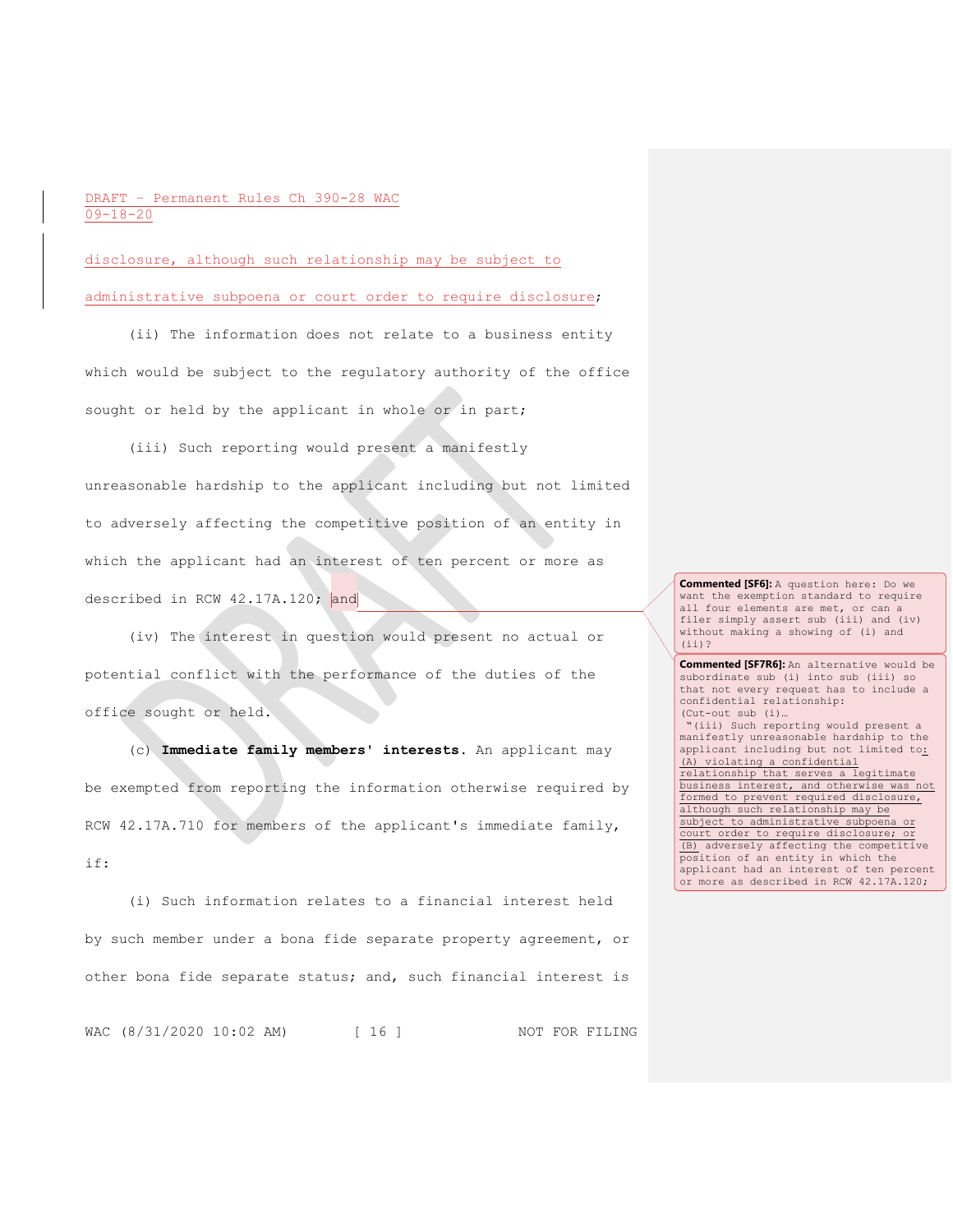disclosure, although such relationship may be subject to administrative subpoena or court order to require disclosure;

(ii) The information does not relate to a business entity which would be subject to the regulatory authority of the office sought or held by the applicant in whole or in part;

(iii) Such reporting would present a manifestly unreasonable hardship to the applicant including but not limited to adversely affecting the competitive position of an entity in which the applicant had an interest of ten percent or more as described in RCW 42.17A.120; and

(iv) The interest in question would present no actual or potential conflict with the performance of the duties of the office sought or held.

(c) **Immediate family members' interests.** An applicant may be exempted from reporting the information otherwise required by RCW 42.17A.710 for members of the applicant's immediate family, if:

(i) Such information relates to a financial interest held by such member under a bona fide separate property agreement, or other bona fide separate status; and, such financial interest is

WAC (8/31/2020 10:02 AM) [ 16 ] NOT FOR FILING

**Commented [SF6]:** A question here: Do we want the exemption standard to require all four elements are met, or can a filer simply assert sub (iii) and (iv) without making a showing of (i) and (ii)?

**Commented [SF7R6]:** An alternative would be subordinate sub (i) into sub (iii) so that not every request has to include a confidential relationship: (Cut-out sub (i)… "(iii) Such reporting would present a manifestly unreasonable hardship to the applicant including but not limited to: (A) violating a confidential relationship that serves a legitimate business interest, and otherwise was not formed to prevent required disclosure, although such relationship may be subject to administrative subpoena or court order to require disclosure; or (B) adversely affecting the competitive position of an entity in which the applicant had an interest of ten percent or more as described in RCW 42.17A.120;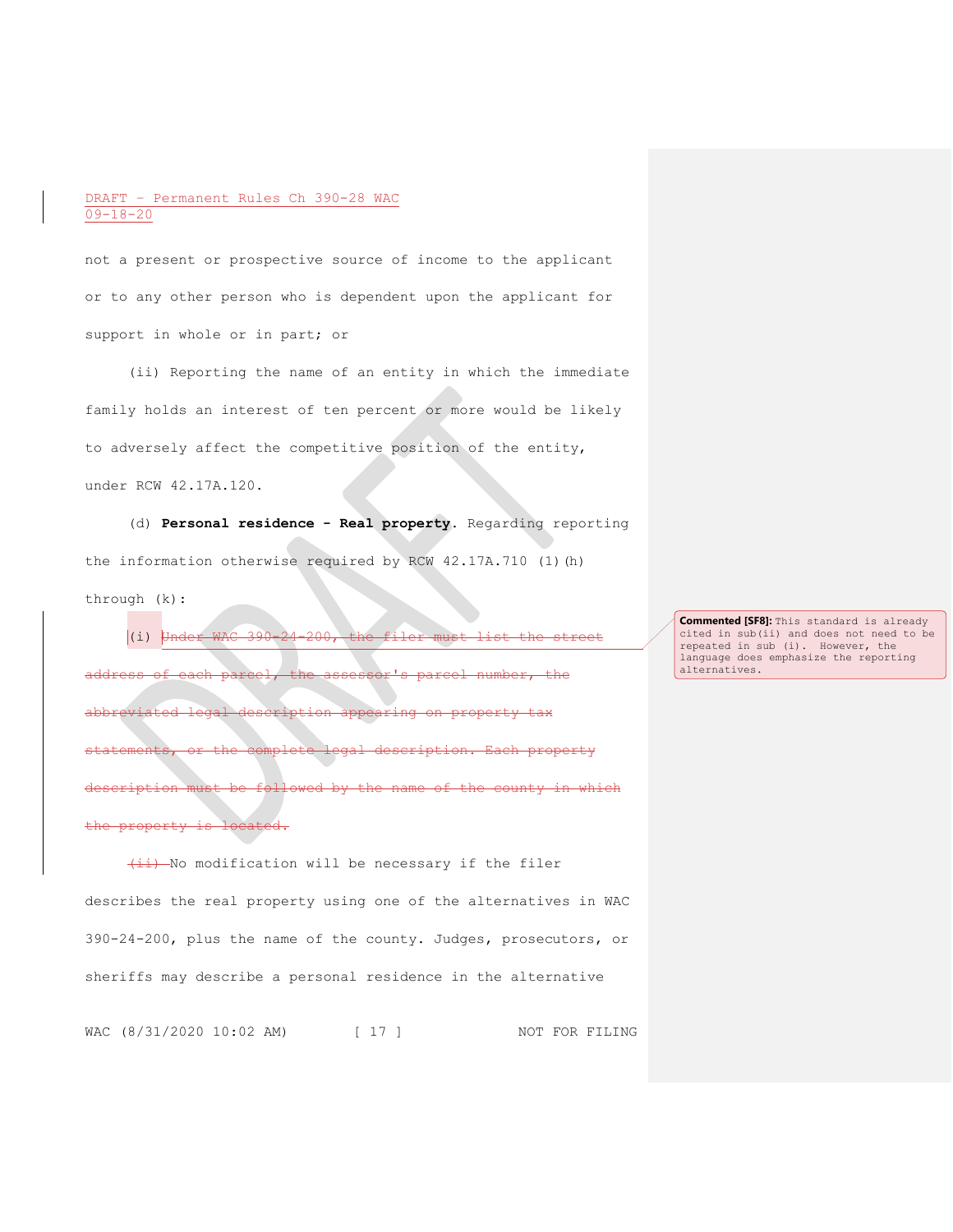not a present or prospective source of income to the applicant or to any other person who is dependent upon the applicant for support in whole or in part; or

(ii) Reporting the name of an entity in which the immediate family holds an interest of ten percent or more would be likely to adversely affect the competitive position of the entity, under RCW 42.17A.120.

(d) **Personal residence - Real property.** Regarding reporting the information otherwise required by RCW 42.17A.710 (1)(h) through (k):

(i) Under WAC 390-24-200, the filer must list the street address of each parcel, the assessor's parcel number, the abbreviated legal description appearing on property tax statements, or the complete legal description. Each property description must be followed by the name of the county in which property is located.

 $\overline{4i}$ ) No modification will be necessary if the filer describes the real property using one of the alternatives in WAC 390-24-200, plus the name of the county. Judges, prosecutors, or sheriffs may describe a personal residence in the alternative

WAC (8/31/2020 10:02 AM) [ 17 ] NOT FOR FILING

**Commented [SF8]:** This standard is already cited in sub(ii) and does not need to be repeated in sub (i). However, the language does emphasize the reporting alternatives.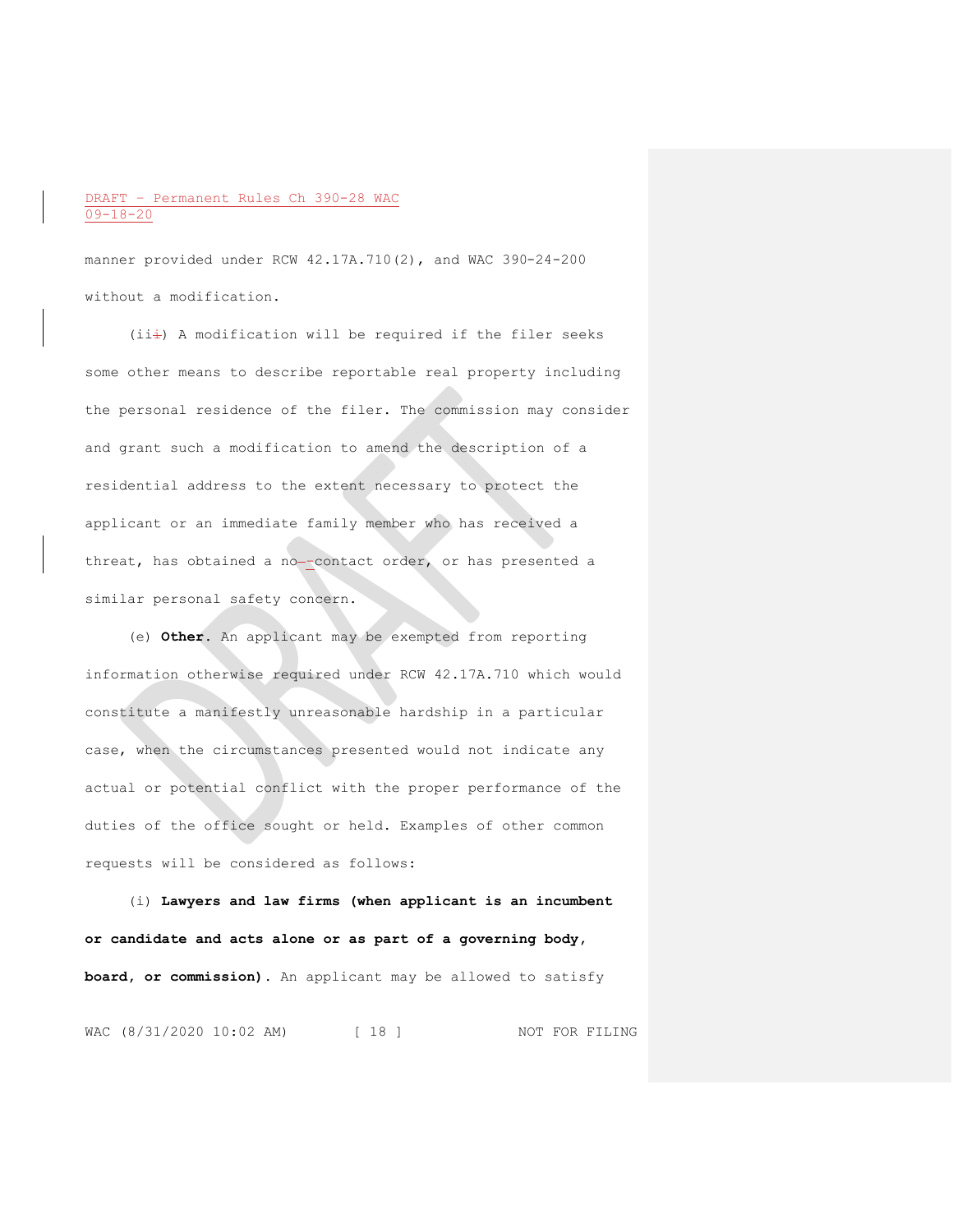manner provided under RCW 42.17A.710(2), and WAC 390-24-200 without a modification.

 $(iii)$  A modification will be required if the filer seeks some other means to describe reportable real property including the personal residence of the filer. The commission may consider and grant such a modification to amend the description of a residential address to the extent necessary to protect the applicant or an immediate family member who has received a threat, has obtained a no--contact order, or has presented a similar personal safety concern.

(e) **Other.** An applicant may be exempted from reporting information otherwise required under RCW 42.17A.710 which would constitute a manifestly unreasonable hardship in a particular case, when the circumstances presented would not indicate any actual or potential conflict with the proper performance of the duties of the office sought or held. Examples of other common requests will be considered as follows:

(i) **Lawyers and law firms (when applicant is an incumbent or candidate and acts alone or as part of a governing body, board, or commission).** An applicant may be allowed to satisfy

WAC (8/31/2020 10:02 AM) [ 18 ] NOT FOR FILING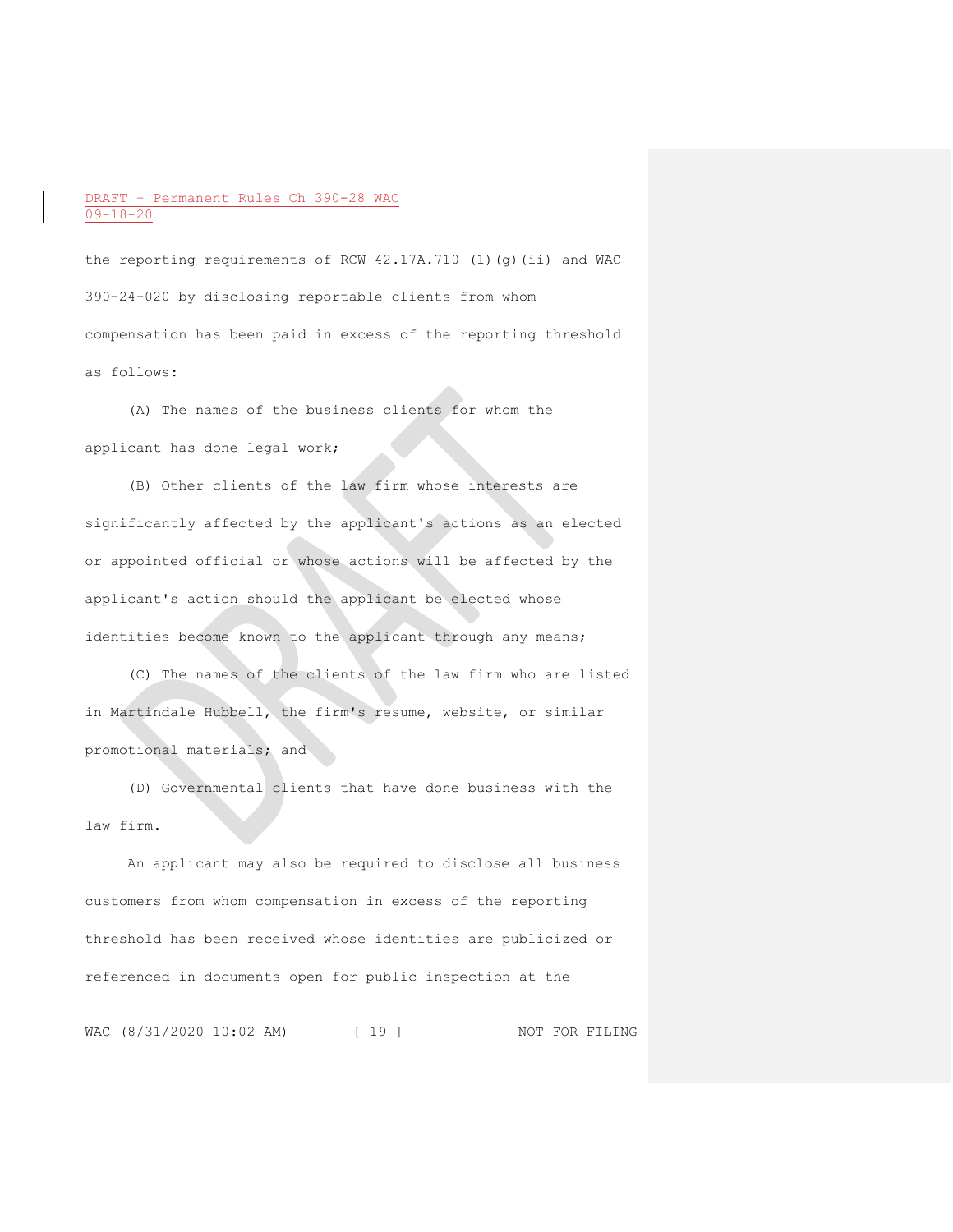the reporting requirements of RCW 42.17A.710 (1)(g)(ii) and WAC 390-24-020 by disclosing reportable clients from whom compensation has been paid in excess of the reporting threshold as follows:

(A) The names of the business clients for whom the applicant has done legal work;

(B) Other clients of the law firm whose interests are significantly affected by the applicant's actions as an elected or appointed official or whose actions will be affected by the applicant's action should the applicant be elected whose identities become known to the applicant through any means;

(C) The names of the clients of the law firm who are listed in Martindale Hubbell, the firm's resume, website, or similar promotional materials; and

(D) Governmental clients that have done business with the law firm.

An applicant may also be required to disclose all business customers from whom compensation in excess of the reporting threshold has been received whose identities are publicized or referenced in documents open for public inspection at the

WAC (8/31/2020 10:02 AM) [ 19 ] NOT FOR FILING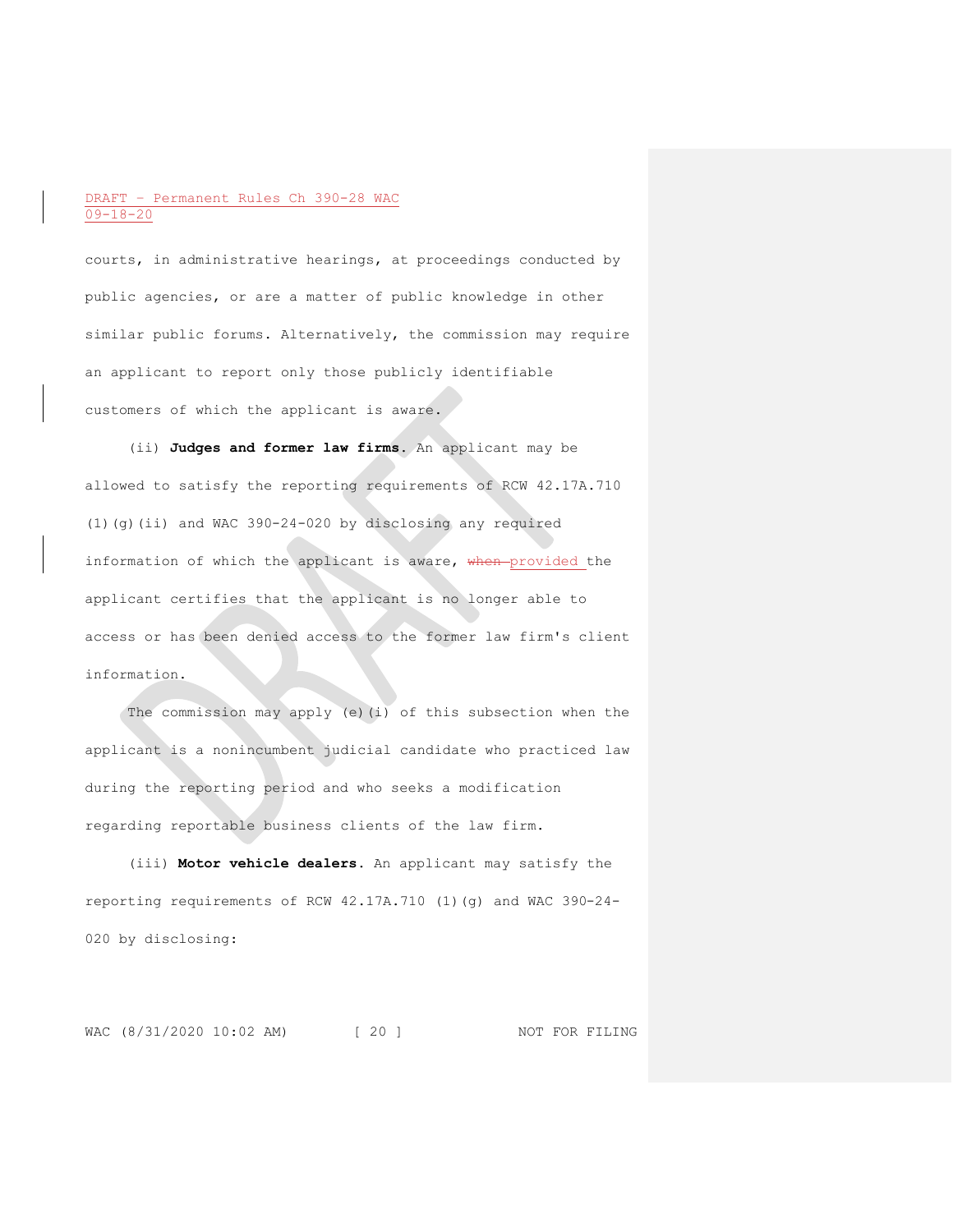courts, in administrative hearings, at proceedings conducted by public agencies, or are a matter of public knowledge in other similar public forums. Alternatively, the commission may require an applicant to report only those publicly identifiable customers of which the applicant is aware.

(ii) **Judges and former law firms.** An applicant may be allowed to satisfy the reporting requirements of RCW 42.17A.710 (1)(g)(ii) and WAC 390-24-020 by disclosing any required information of which the applicant is aware, when provided the applicant certifies that the applicant is no longer able to access or has been denied access to the former law firm's client information.

The commission may apply (e)(i) of this subsection when the applicant is a nonincumbent judicial candidate who practiced law during the reporting period and who seeks a modification regarding reportable business clients of the law firm.

(iii) **Motor vehicle dealers.** An applicant may satisfy the reporting requirements of RCW 42.17A.710 (1)(g) and WAC 390-24- 020 by disclosing:

WAC (8/31/2020 10:02 AM) [ 20 ] NOT FOR FILING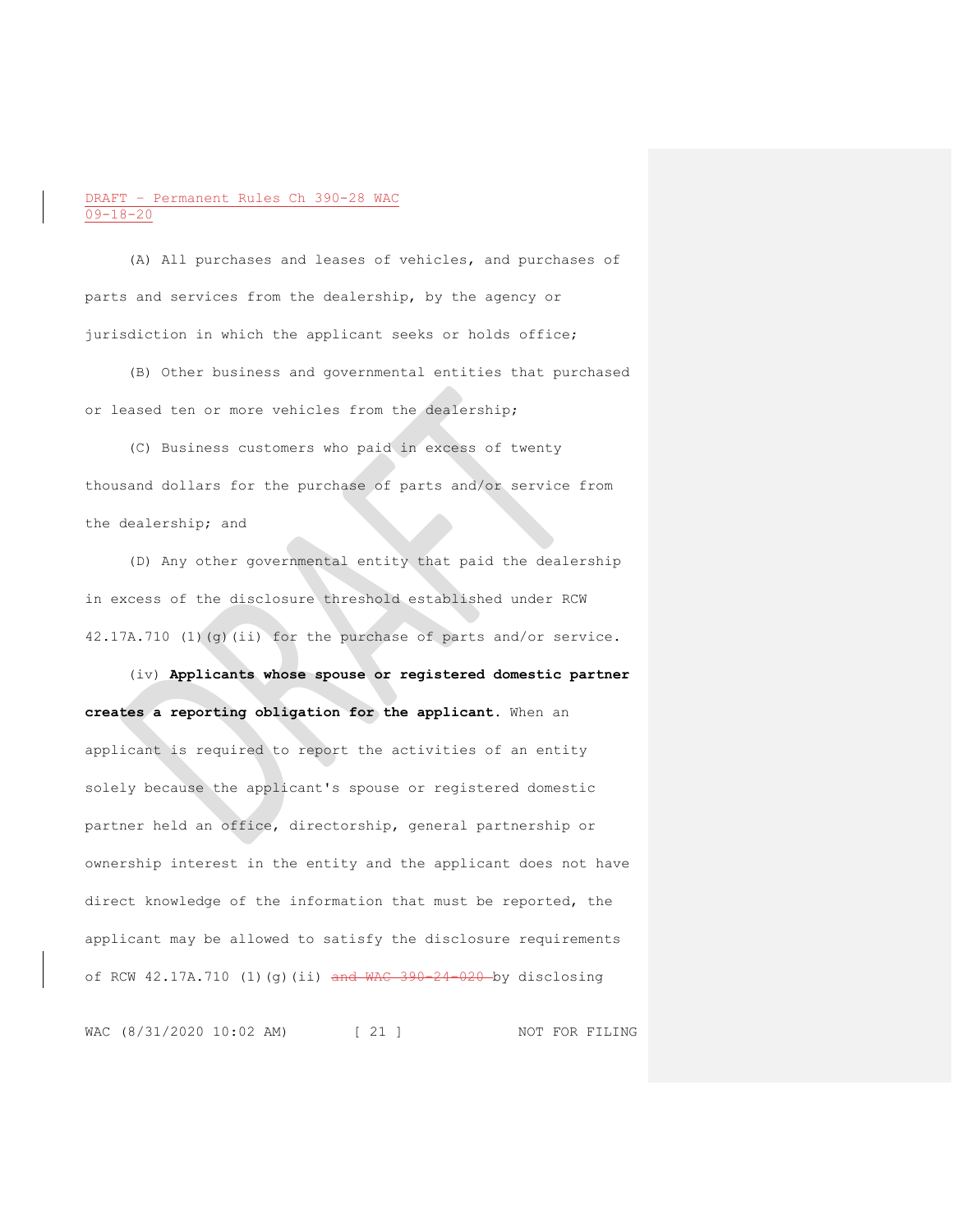(A) All purchases and leases of vehicles, and purchases of parts and services from the dealership, by the agency or jurisdiction in which the applicant seeks or holds office;

(B) Other business and governmental entities that purchased or leased ten or more vehicles from the dealership;

(C) Business customers who paid in excess of twenty thousand dollars for the purchase of parts and/or service from the dealership; and

(D) Any other governmental entity that paid the dealership in excess of the disclosure threshold established under RCW 42.17A.710 (1)(g)(ii) for the purchase of parts and/or service.

(iv) **Applicants whose spouse or registered domestic partner creates a reporting obligation for the applicant.** When an applicant is required to report the activities of an entity solely because the applicant's spouse or registered domestic partner held an office, directorship, general partnership or ownership interest in the entity and the applicant does not have direct knowledge of the information that must be reported, the applicant may be allowed to satisfy the disclosure requirements of RCW 42.17A.710 (1)(g)(ii) and WAC 390-24-020 by disclosing

WAC (8/31/2020 10:02 AM) [ 21 ] NOT FOR FILING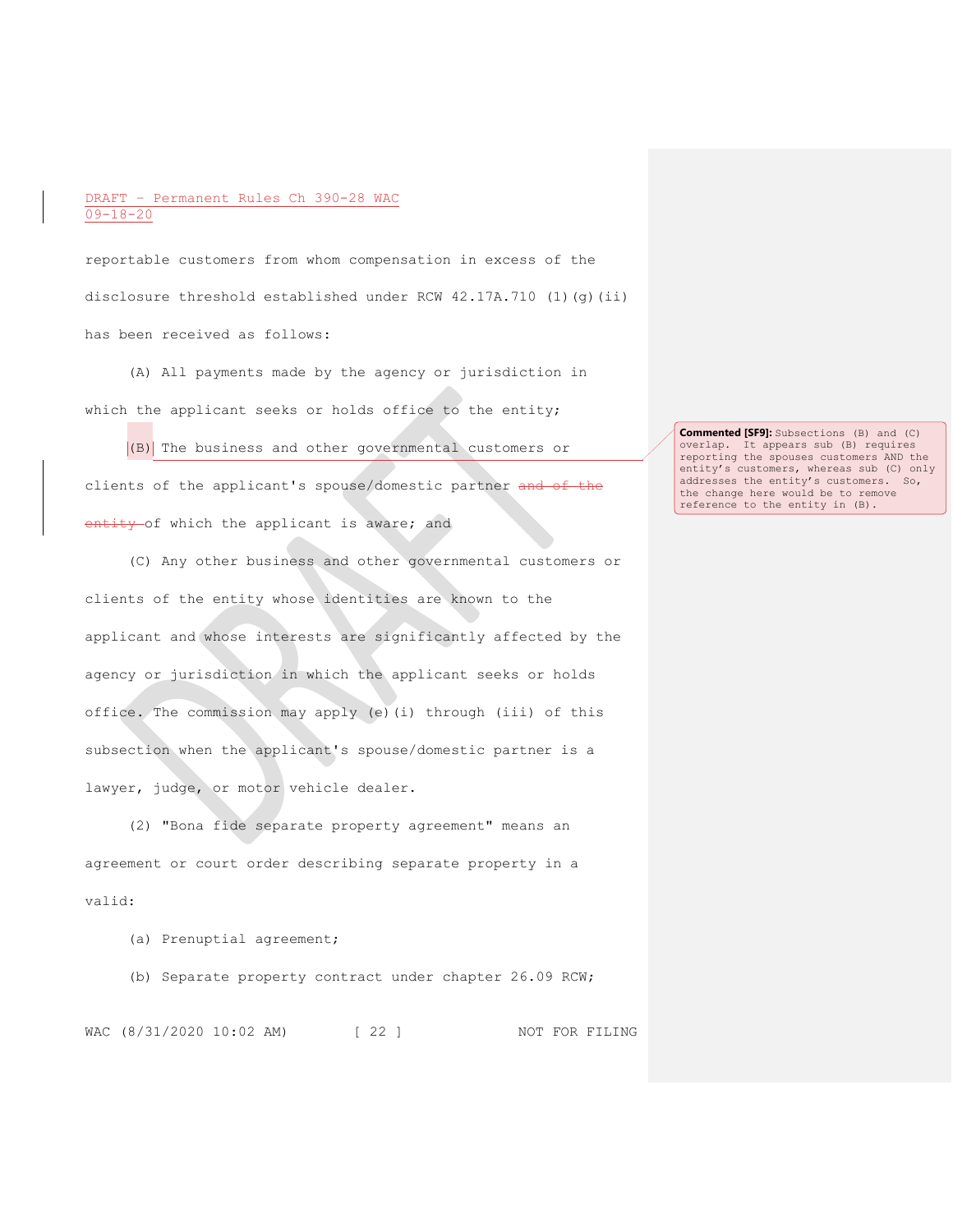reportable customers from whom compensation in excess of the disclosure threshold established under RCW  $42.17A.710$  (1)(g)(ii) has been received as follows:

(A) All payments made by the agency or jurisdiction in which the applicant seeks or holds office to the entity;

(B) The business and other governmental customers or clients of the applicant's spouse/domestic partner and of the entity of which the applicant is aware; and

(C) Any other business and other governmental customers or clients of the entity whose identities are known to the applicant and whose interests are significantly affected by the agency or jurisdiction in which the applicant seeks or holds office. The commission may apply (e)(i) through (iii) of this subsection when the applicant's spouse/domestic partner is a lawyer, judge, or motor vehicle dealer.

(2) "Bona fide separate property agreement" means an agreement or court order describing separate property in a valid:

(a) Prenuptial agreement;

(b) Separate property contract under chapter 26.09 RCW;

WAC (8/31/2020 10:02 AM) [ 22 ] NOT FOR FILING

**Commented [SF9]:** Subsections (B) and (C) overlap. It appears sub (B) requires reporting the spouses customers AND the entity's customers, whereas sub (C) only addresses the entity's customers. So, the change here would be to remove reference to the entity in (B).